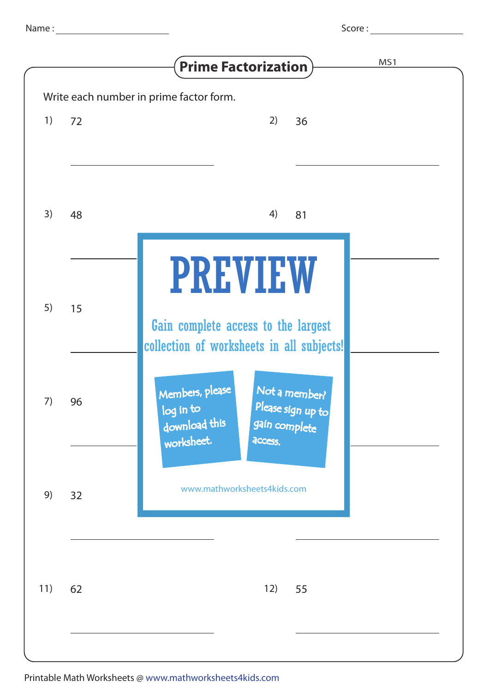| ۰.<br>٠<br>٧<br>٧ |  |
|-------------------|--|

|     |    | MS1<br><b>Prime Factorization</b>                                                                                             |
|-----|----|-------------------------------------------------------------------------------------------------------------------------------|
|     |    | Write each number in prime factor form.                                                                                       |
| 1)  | 72 | 2)<br>36                                                                                                                      |
|     |    |                                                                                                                               |
| 3)  | 48 | 4)<br>81                                                                                                                      |
| 5)  | 15 | <b>PREVIEW</b><br>Gain complete access to the largest<br>collection of worksheets in all subjects!                            |
| 7)  | 96 | Members, please<br>Not a member?<br>Please sign up to<br>log in to<br>download this<br>gain complete<br>worksheet.<br>access. |
| 9)  | 32 | www.mathworksheets4kids.com                                                                                                   |
| 11) | 62 | 12)<br>55                                                                                                                     |
|     |    |                                                                                                                               |